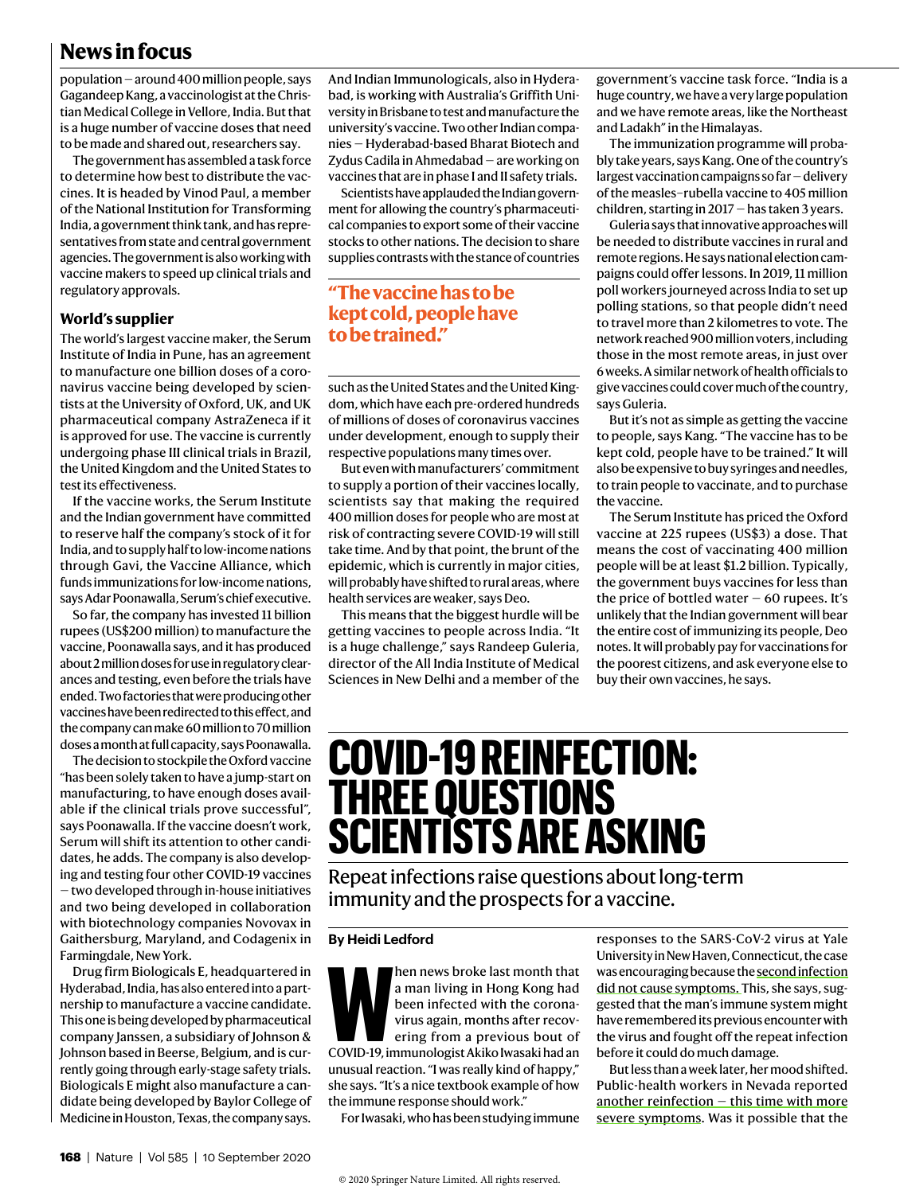## **News in focus**

population — around 400 million people, says Gagandeep Kang, a vaccinologist at the Chris‑ tian Medical College in Vellore, India. But that is a huge number of vaccine doses that need to be made and shared out, researchers say.

The government has assembled a task force to determine how best to distribute the vaccines. It is headed by Vinod Paul, a member of the National Institution for Transforming India, a government think tank, and has repre‑ sentatives from state and central government agencies. The government is also working with vaccine makers to speed up clinical trials and regulatory approvals.

#### **World's supplier**

The world's largest vaccine maker, the Serum Institute of India in Pune, has an agreement to manufacture one billion doses of a coronavirus vaccine being developed by scientists at the University of Oxford, UK, and UK pharmaceutical company AstraZeneca if it is approved for use. The vaccine is currently undergoing phase III clinical trials in Brazil, the United Kingdom and the United States to test its effectiveness.

If the vaccine works, the Serum Institute and the Indian government have committed to reserve half the company's stock of it for India, and to supply half to low-income nations through Gavi, the Vaccine Alliance, which funds immunizations for low-income nations, says Adar Poonawalla, Serum's chief executive.

So far, the company has invested 11 billion rupees (US\$200 million) to manufacture the vaccine, Poonawalla says, and it has produced about 2 million doses for use in regulatory clear‑ ances and testing, even before the trials have ended. Two factories that were producing other vaccines have been redirected to this effect, and the company can make 60 million to 70 million doses a month at full capacity, says Poonawalla.

The decision to stockpile the Oxford vaccine "has been solely taken to have a jump-start on manufacturing, to have enough doses avail‑ able if the clinical trials prove successful", says Poonawalla. If the vaccine doesn't work, Serum will shift its attention to other candidates, he adds. The company is also developing and testing four other COVID-19 vaccines — two developed through in-house initiatives and two being developed in collaboration with biotechnology companies Novovax in Gaithersburg, Maryland, and Codagenix in Farmingdale, New York.

Drug firm Biologicals E, headquartered in Hyderabad, India, has also entered into a part‑ nership to manufacture a vaccine candidate. This one is being developed by pharmaceutical company Janssen, a subsidiary of Johnson & Johnson based in Beerse, Belgium, and is currently going through early-stage safety trials. Biologicals E might also manufacture a can‑ didate being developed by Baylor College of Medicine in Houston, Texas, the company says.

And Indian Immunologicals, also in Hyderabad, is working with Australia's Griffith University in Brisbane to test and manufacture the university's vaccine. Two other Indian compa‑ nies — Hyderabad-based Bharat Biotech and Zydus Cadila in Ahmedabad — are working on vaccines that are in phase I and II safety trials.

Scientists have applauded the Indian government for allowing the country's pharmaceutical companies to export some of their vaccine stocks to other nations. The decision to share supplies contrasts with the stance of countries

## **"The vaccine has to be kept cold, people have to be trained."**

such as the United States and the United Kingdom, which have each pre-ordered hundreds of millions of doses of coronavirus vaccines under development, enough to supply their respective populations many times over.

But even with manufacturers' commitment to supply a portion of their vaccines locally, scientists say that making the required 400 million doses for people who are most at risk of contracting severe COVID-19 will still take time. And by that point, the brunt of the epidemic, which is currently in major cities, will probably have shifted to rural areas, where health services are weaker, says Deo.

This means that the biggest hurdle will be getting vaccines to people across India. "It is a huge challenge," says Randeep Guleria, director of the All India Institute of Medical Sciences in New Delhi and a member of the government's vaccine task force. "India is a huge country, we have a very large population and we have remote areas, like the Northeast and Ladakh" in the Himalayas.

The immunization programme will probably take years, says Kang. One of the country's largest vaccination campaigns so far — delivery of the measles–rubella vaccine to 405 million children, starting in 2017 — has taken 3 years.

Guleria says that innovative approaches will be needed to distribute vaccines in rural and remote regions. He says national election cam‑ paigns could offer lessons. In 2019, 11 million poll workers journeyed across India to set up polling stations, so that people didn't need to travel more than 2 kilometres to vote. The network reached 900 million voters, including those in the most remote areas, in just over 6 weeks. A similar network of health officials to give vaccines could cover much of the country, says Guleria.

But it's not as simple as getting the vaccine to people, says Kang. "The vaccine has to be kept cold, people have to be trained." It will also be expensive to buy syringes and needles, to train people to vaccinate, and to purchase the vaccine.

The Serum Institute has priced the Oxford vaccine at 225 rupees (US\$3) a dose. That means the cost of vaccinating 400 million people will be at least \$1.2 billion. Typically, the government buys vaccines for less than the price of bottled water  $-60$  rupees. It's unlikely that the Indian government will bear the entire cost of immunizing its people, Deo notes. It will probably pay for vaccinations for the poorest citizens, and ask everyone else to buy their own vaccines, he says.

# **COVID-19 REINFECTION: THREE QUESTIONS SCIENTISTS ARE ASKING**

Repeat infections raise questions about long-term immunity and the prospects for a vaccine.

#### **By Heidi Ledford**

**Men news broke last month that**<br>
a man living in Hong Kong had<br>
been infected with the corona-<br>
virus again, months after recov-<br>
ering from a previous bout of<br>
COVID-19, immunologist Akiko Iwasaki had an a man living in Hong Kong had been infected with the coronavirus again, months after recovering from a previous bout of unusual reaction. "I was really kind of happy," she says. "It's a nice textbook example of how the immune response should work."

For Iwasaki, who has been studying immune

responses to the SARS-CoV-2 virus at Yale University in New Haven, Connecticut, the case was encouraging because the second infection did not cause symptoms. This, she says, suggested that the man's immune system might have remembered its previous encounter with the virus and fought off the repeat infection before it could do much damage.

But less than a week later, her mood shifted. Public-health workers in Nevada reported another reinfection  $-$  this time with more severe symptoms. Was it possible that the